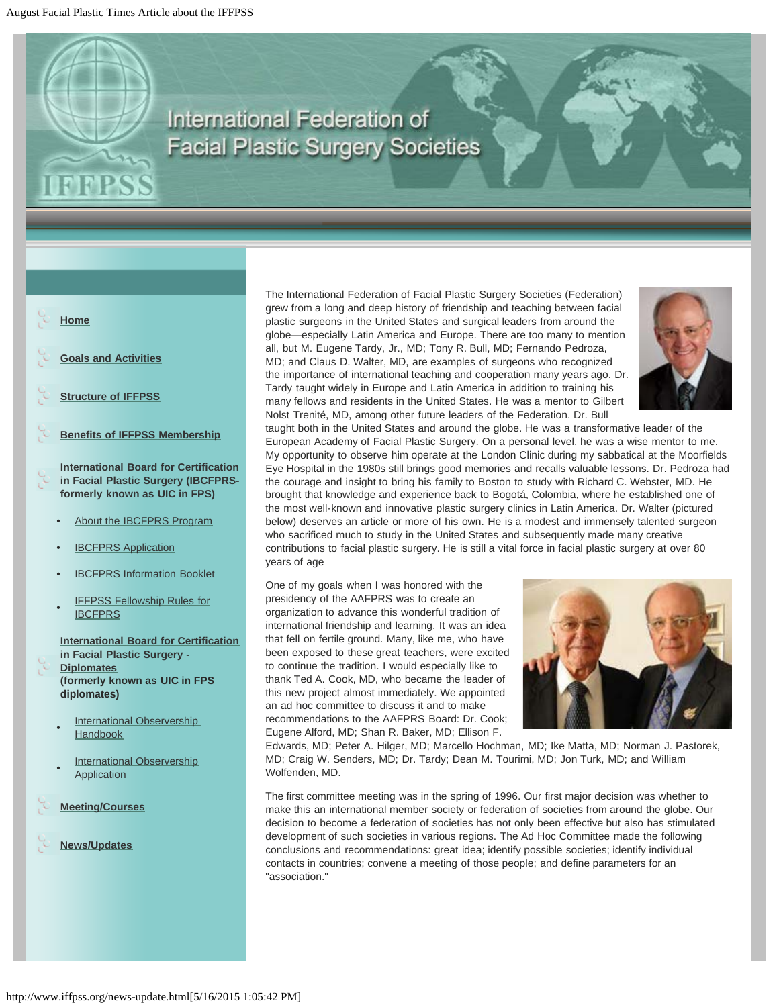## **International Federation of Facial Plastic Surgery Societies**

## **[Home](http://www.iffpss.org/)**

**[Goals and Activities](http://www.iffpss.org/goals.html)**

<span id="page-0-0"></span>**FPSS** 

- **[Structure of IFFPSS](http://www.iffpss.org/structure.html)**
- **[Benefits of IFFPSS Membership](http://www.iffpss.org/benefits.html)**

**International Board for Certification in Facial Plastic Surgery (IBCFPRSformerly known as UIC in FPS)**

- About the **IBCFPRS** Program
- **[IBCFPRS Application](http://www.iffpss.org/pdf/IBCFPRSApplicationfor2015.pdf)**
- **[IBCFPRS Information Booklet](http://www.iffpss.org/pdf/IBCFPRSBookletfor2015.pdf)**
- **[IFFPSS Fellowship Rules for](http://www.iffpss.org/pdf/IFFPSS-Fellowship-Rules.pdf) [IBCFPRS](http://www.iffpss.org/pdf/IFFPSS-Fellowship-Rules.pdf)**

**[International Board for Certification](http://www.iffpss.org/certificants.html) [in Facial Plastic Surgery -](http://www.iffpss.org/certificants.html) [Diplomates](http://www.iffpss.org/certificants.html) (formerly known as UIC in FPS diplomates)**

- **International Observership [Handbook](http://www.iffpss.org/pdf/International-Observership-Handbook.pdf)**
- **[International Observership](http://www.iffpss.org/pdf/International-Observership-Application.pdf) [Application](http://www.iffpss.org/pdf/International-Observership-Application.pdf)**
- **[Meeting/Courses](http://www.iffpss.org/Meetings-Courses.html)**

```
News/Updates
```
The International Federation of Facial Plastic Surgery Societies (Federation) grew from a long and deep history of friendship and teaching between facial plastic surgeons in the United States and surgical leaders from around the globe—especially Latin America and Europe. There are too many to mention all, but M. Eugene Tardy, Jr., MD; Tony R. Bull, MD; Fernando Pedroza, MD; and Claus D. Walter, MD, are examples of surgeons who recognized the importance of international teaching and cooperation many years ago. Dr. Tardy taught widely in Europe and Latin America in addition to training his many fellows and residents in the United States. He was a mentor to Gilbert Nolst Trenité, MD, among other future leaders of the Federation. Dr. Bull



taught both in the United States and around the globe. He was a transformative leader of the European Academy of Facial Plastic Surgery. On a personal level, he was a wise mentor to me. My opportunity to observe him operate at the London Clinic during my sabbatical at the Moorfields Eye Hospital in the 1980s still brings good memories and recalls valuable lessons. Dr. Pedroza had the courage and insight to bring his family to Boston to study with Richard C. Webster, MD. He brought that knowledge and experience back to Bogotá, Colombia, where he established one of the most well-known and innovative plastic surgery clinics in Latin America. Dr. Walter (pictured below) deserves an article or more of his own. He is a modest and immensely talented surgeon who sacrificed much to study in the United States and subsequently made many creative contributions to facial plastic surgery. He is still a vital force in facial plastic surgery at over 80 years of age

One of my goals when I was honored with the presidency of the AAFPRS was to create an organization to advance this wonderful tradition of international friendship and learning. It was an idea that fell on fertile ground. Many, like me, who have been exposed to these great teachers, were excited to continue the tradition. I would especially like to thank Ted A. Cook, MD, who became the leader of this new project almost immediately. We appointed an ad hoc committee to discuss it and to make recommendations to the AAFPRS Board: Dr. Cook; Eugene Alford, MD; Shan R. Baker, MD; Ellison F.



Edwards, MD; Peter A. Hilger, MD; Marcello Hochman, MD; Ike Matta, MD; Norman J. Pastorek, MD; Craig W. Senders, MD; Dr. Tardy; Dean M. Tourimi, MD; Jon Turk, MD; and William Wolfenden, MD.

The first committee meeting was in the spring of 1996. Our first major decision was whether to make this an international member society or federation of societies from around the globe. Our decision to become a federation of societies has not only been effective but also has stimulated development of such societies in various regions. The Ad Hoc Committee made the following conclusions and recommendations: great idea; identify possible societies; identify individual contacts in countries; convene a meeting of those people; and define parameters for an "association."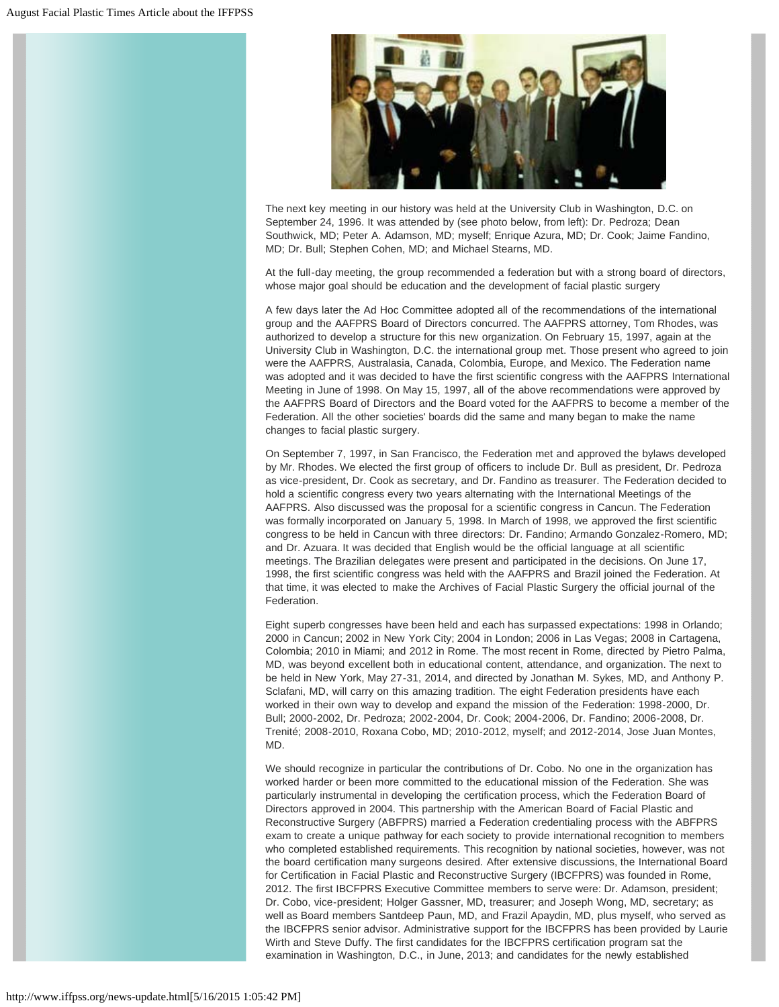

The next key meeting in our history was held at the University Club in Washington, D.C. on September 24, 1996. It was attended by (see photo below, from left): Dr. Pedroza; Dean Southwick, MD; Peter A. Adamson, MD; myself; Enrique Azura, MD; Dr. Cook; Jaime Fandino, MD; Dr. Bull; Stephen Cohen, MD; and Michael Stearns, MD.

At the full-day meeting, the group recommended a federation but with a strong board of directors, whose major goal should be education and the development of facial plastic surgery

A few days later the Ad Hoc Committee adopted all of the recommendations of the international group and the AAFPRS Board of Directors concurred. The AAFPRS attorney, Tom Rhodes, was authorized to develop a structure for this new organization. On February 15, 1997, again at the University Club in Washington, D.C. the international group met. Those present who agreed to join were the AAFPRS, Australasia, Canada, Colombia, Europe, and Mexico. The Federation name was adopted and it was decided to have the first scientific congress with the AAFPRS International Meeting in June of 1998. On May 15, 1997, all of the above recommendations were approved by the AAFPRS Board of Directors and the Board voted for the AAFPRS to become a member of the Federation. All the other societies' boards did the same and many began to make the name changes to facial plastic surgery.

On September 7, 1997, in San Francisco, the Federation met and approved the bylaws developed by Mr. Rhodes. We elected the first group of officers to include Dr. Bull as president, Dr. Pedroza as vice-president, Dr. Cook as secretary, and Dr. Fandino as treasurer. The Federation decided to hold a scientific congress every two years alternating with the International Meetings of the AAFPRS. Also discussed was the proposal for a scientific congress in Cancun. The Federation was formally incorporated on January 5, 1998. In March of 1998, we approved the first scientific congress to be held in Cancun with three directors: Dr. Fandino; Armando Gonzalez-Romero, MD; and Dr. Azuara. It was decided that English would be the official language at all scientific meetings. The Brazilian delegates were present and participated in the decisions. On June 17, 1998, the first scientific congress was held with the AAFPRS and Brazil joined the Federation. At that time, it was elected to make the Archives of Facial Plastic Surgery the official journal of the Federation.

Eight superb congresses have been held and each has surpassed expectations: 1998 in Orlando; 2000 in Cancun; 2002 in New York City; 2004 in London; 2006 in Las Vegas; 2008 in Cartagena, Colombia; 2010 in Miami; and 2012 in Rome. The most recent in Rome, directed by Pietro Palma, MD, was beyond excellent both in educational content, attendance, and organization. The next to be held in New York, May 27-31, 2014, and directed by Jonathan M. Sykes, MD, and Anthony P. Sclafani, MD, will carry on this amazing tradition. The eight Federation presidents have each worked in their own way to develop and expand the mission of the Federation: 1998-2000, Dr. Bull; 2000-2002, Dr. Pedroza; 2002-2004, Dr. Cook; 2004-2006, Dr. Fandino; 2006-2008, Dr. Trenité; 2008-2010, Roxana Cobo, MD; 2010-2012, myself; and 2012-2014, Jose Juan Montes, MD.

We should recognize in particular the contributions of Dr. Cobo. No one in the organization has worked harder or been more committed to the educational mission of the Federation. She was particularly instrumental in developing the certification process, which the Federation Board of Directors approved in 2004. This partnership with the American Board of Facial Plastic and Reconstructive Surgery (ABFPRS) married a Federation credentialing process with the ABFPRS exam to create a unique pathway for each society to provide international recognition to members who completed established requirements. This recognition by national societies, however, was not the board certification many surgeons desired. After extensive discussions, the International Board for Certification in Facial Plastic and Reconstructive Surgery (IBCFPRS) was founded in Rome, 2012. The first IBCFPRS Executive Committee members to serve were: Dr. Adamson, president; Dr. Cobo, vice-president; Holger Gassner, MD, treasurer; and Joseph Wong, MD, secretary; as well as Board members Santdeep Paun, MD, and Frazil Apaydin, MD, plus myself, who served as the IBCFPRS senior advisor. Administrative support for the IBCFPRS has been provided by Laurie Wirth and Steve Duffy. The first candidates for the IBCFPRS certification program sat the examination in Washington, D.C., in June, 2013; and candidates for the newly established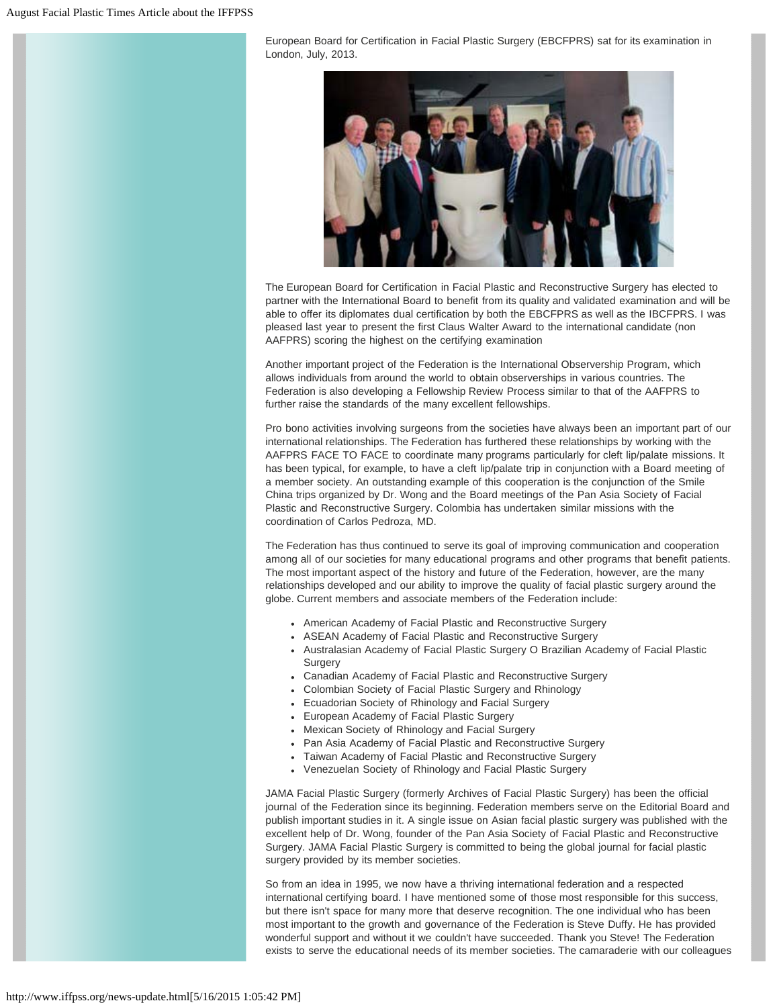European Board for Certification in Facial Plastic Surgery (EBCFPRS) sat for its examination in London, July, 2013.



The European Board for Certification in Facial Plastic and Reconstructive Surgery has elected to partner with the International Board to benefit from its quality and validated examination and will be able to offer its diplomates dual certification by both the EBCFPRS as well as the IBCFPRS. I was pleased last year to present the first Claus Walter Award to the international candidate (non AAFPRS) scoring the highest on the certifying examination

Another important project of the Federation is the International Observership Program, which allows individuals from around the world to obtain observerships in various countries. The Federation is also developing a Fellowship Review Process similar to that of the AAFPRS to further raise the standards of the many excellent fellowships.

Pro bono activities involving surgeons from the societies have always been an important part of our international relationships. The Federation has furthered these relationships by working with the AAFPRS FACE TO FACE to coordinate many programs particularly for cleft lip/palate missions. It has been typical, for example, to have a cleft lip/palate trip in conjunction with a Board meeting of a member society. An outstanding example of this cooperation is the conjunction of the Smile China trips organized by Dr. Wong and the Board meetings of the Pan Asia Society of Facial Plastic and Reconstructive Surgery. Colombia has undertaken similar missions with the coordination of Carlos Pedroza, MD.

The Federation has thus continued to serve its goal of improving communication and cooperation among all of our societies for many educational programs and other programs that benefit patients. The most important aspect of the history and future of the Federation, however, are the many relationships developed and our ability to improve the quality of facial plastic surgery around the globe. Current members and associate members of the Federation include:

- American Academy of Facial Plastic and Reconstructive Surgery
- ASEAN Academy of Facial Plastic and Reconstructive Surgery
- Australasian Academy of Facial Plastic Surgery O Brazilian Academy of Facial Plastic Surgery
- Canadian Academy of Facial Plastic and Reconstructive Surgery
- Colombian Society of Facial Plastic Surgery and Rhinology
- Ecuadorian Society of Rhinology and Facial Surgery
- European Academy of Facial Plastic Surgery
- Mexican Society of Rhinology and Facial Surgery
- Pan Asia Academy of Facial Plastic and Reconstructive Surgery
- Taiwan Academy of Facial Plastic and Reconstructive Surgery
- Venezuelan Society of Rhinology and Facial Plastic Surgery

JAMA Facial Plastic Surgery (formerly Archives of Facial Plastic Surgery) has been the official journal of the Federation since its beginning. Federation members serve on the Editorial Board and publish important studies in it. A single issue on Asian facial plastic surgery was published with the excellent help of Dr. Wong, founder of the Pan Asia Society of Facial Plastic and Reconstructive Surgery. JAMA Facial Plastic Surgery is committed to being the global journal for facial plastic surgery provided by its member societies.

So from an idea in 1995, we now have a thriving international federation and a respected international certifying board. I have mentioned some of those most responsible for this success, but there isn't space for many more that deserve recognition. The one individual who has been most important to the growth and governance of the Federation is Steve Duffy. He has provided wonderful support and without it we couldn't have succeeded. Thank you Steve! The Federation exists to serve the educational needs of its member societies. The camaraderie with our colleagues